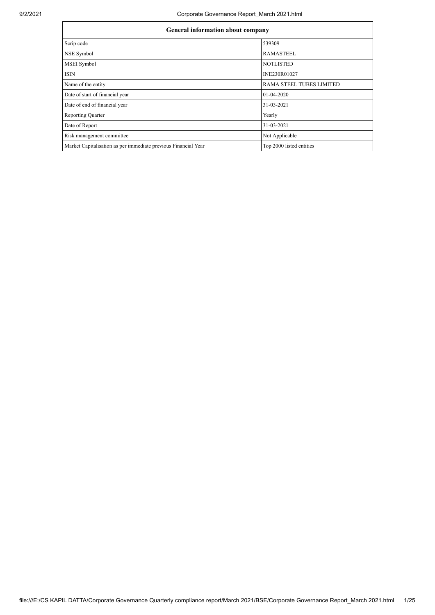| <b>General information about company</b>                       |                                 |  |  |  |  |
|----------------------------------------------------------------|---------------------------------|--|--|--|--|
| Scrip code                                                     | 539309                          |  |  |  |  |
| NSE Symbol                                                     | <b>RAMASTEEL</b>                |  |  |  |  |
| <b>MSEI</b> Symbol                                             | <b>NOTLISTED</b>                |  |  |  |  |
| <b>ISIN</b>                                                    | INE230R01027                    |  |  |  |  |
| Name of the entity                                             | <b>RAMA STEEL TUBES LIMITED</b> |  |  |  |  |
| Date of start of financial year                                | 01-04-2020                      |  |  |  |  |
| Date of end of financial year                                  | 31-03-2021                      |  |  |  |  |
| <b>Reporting Quarter</b>                                       | Yearly                          |  |  |  |  |
| Date of Report                                                 | 31-03-2021                      |  |  |  |  |
| Risk management committee                                      | Not Applicable                  |  |  |  |  |
| Market Capitalisation as per immediate previous Financial Year | Top 2000 listed entities        |  |  |  |  |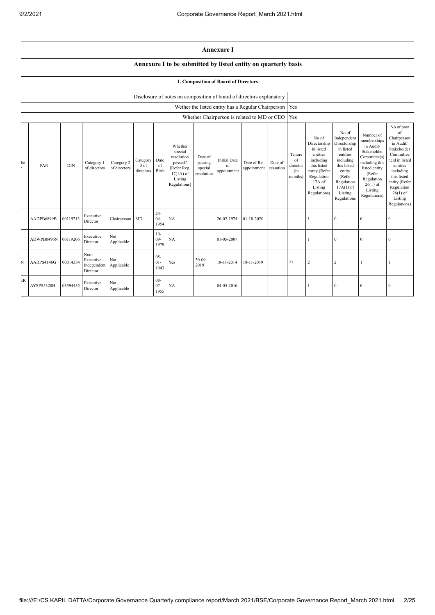## **Annexure I**

## **Annexure I to be submitted by listed entity on quarterly basis**

## **I. Composition of Board of Directors**

|    |            | Disclosure of notes on composition of board of directors explanatory |                                                |                            |                               |                          |                                                                                                      |                                             |                                          |                                                          |                      |                                            |                                                                                                                                                |                                                                                                                                                                      |                                                                                                                                                                          |                                                                                                                                                                                                            |
|----|------------|----------------------------------------------------------------------|------------------------------------------------|----------------------------|-------------------------------|--------------------------|------------------------------------------------------------------------------------------------------|---------------------------------------------|------------------------------------------|----------------------------------------------------------|----------------------|--------------------------------------------|------------------------------------------------------------------------------------------------------------------------------------------------|----------------------------------------------------------------------------------------------------------------------------------------------------------------------|--------------------------------------------------------------------------------------------------------------------------------------------------------------------------|------------------------------------------------------------------------------------------------------------------------------------------------------------------------------------------------------------|
|    |            |                                                                      |                                                |                            |                               |                          |                                                                                                      |                                             |                                          | Wether the listed entity has a Regular Chairperson   Yes |                      |                                            |                                                                                                                                                |                                                                                                                                                                      |                                                                                                                                                                          |                                                                                                                                                                                                            |
|    |            |                                                                      |                                                |                            |                               |                          |                                                                                                      |                                             |                                          | Whether Chairperson is related to MD or CEO              |                      | Yes                                        |                                                                                                                                                |                                                                                                                                                                      |                                                                                                                                                                          |                                                                                                                                                                                                            |
| he | PAN        | <b>DIN</b>                                                           | Category 1<br>of directors                     | Category 2<br>of directors | Category<br>3 of<br>directors | Date<br>of<br>Birth      | Whether<br>special<br>resolution<br>passed?<br>[Refer Reg.<br>$17(1A)$ of<br>Listing<br>Regulations] | Date of<br>passing<br>special<br>resolution | <b>Initial Date</b><br>of<br>appointment | Date of Re-<br>appointment                               | Date of<br>cessation | Tenure<br>of<br>director<br>(in<br>months) | No of<br>Directorship<br>in listed<br>entities<br>including<br>this listed<br>entity (Refer<br>Regulation<br>17A of<br>Listing<br>Regulations) | No of<br>Independent<br>Directorship<br>in listed<br>entities<br>including<br>this listed<br>entity<br>(Refer<br>Regulation<br>$17A(1)$ of<br>Listing<br>Regulations | Number of<br>memberships<br>in Audit/<br>Stakeholder<br>Committee(s)<br>including this<br>listed entity<br>(Refer<br>Regulation<br>$26(1)$ of<br>Listing<br>Regulations) | No of post<br>of<br>Chairperson<br>in Audit/<br>Stakeholder<br>Committee<br>held in listed<br>entities<br>including<br>this listed<br>entity (Refer<br>Regulation<br>$26(1)$ of<br>Listing<br>Regulations) |
|    | AADPB6899B | 00119213                                                             | Executive<br>Director                          | Chairperson MD             |                               | $24 -$<br>$04 -$<br>1954 | NA                                                                                                   |                                             | 26-02-1974                               | 01-10-2020                                               |                      |                                            |                                                                                                                                                | $\bf{0}$                                                                                                                                                             | $\Omega$                                                                                                                                                                 | $\theta$                                                                                                                                                                                                   |
|    | ADWPB0496N | 00119206                                                             | Executive<br>Director                          | Not<br>Applicable          |                               | $10-$<br>$09 -$<br>1979  | NA                                                                                                   |                                             | 01-05-2007                               |                                                          |                      |                                            |                                                                                                                                                | $\theta$                                                                                                                                                             | $\theta$                                                                                                                                                                 | $\Omega$                                                                                                                                                                                                   |
| N  | AARPS4146G | 00014334                                                             | Non-<br>Executive -<br>Independent<br>Director | Not<br>Applicable          |                               | $05 -$<br>$01 -$<br>1943 | Yes                                                                                                  | $30 - 09 -$<br>2019                         | 18-11-2014                               | 18-11-2019                                               |                      | 77                                         | 2                                                                                                                                              | $\overline{2}$                                                                                                                                                       |                                                                                                                                                                          |                                                                                                                                                                                                            |
| ER | AYSPS5320H | 03594435                                                             | Executive<br>Director                          | Not<br>Applicable          |                               | $08 -$<br>$07 -$<br>1955 | NA                                                                                                   |                                             | 04-05-2016                               |                                                          |                      |                                            |                                                                                                                                                | $\bf{0}$                                                                                                                                                             | $\Omega$                                                                                                                                                                 | $\Omega$                                                                                                                                                                                                   |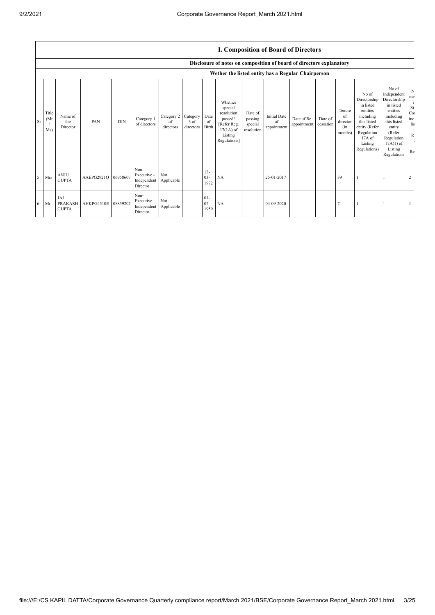$\overline{1}$ 

|    |                      | <b>I. Composition of Board of Directors</b> |                     |            |                                                |                               |                               |                          |                                                                                                      |                                             |                                          |                            |                      |                                            |                                                                                                                                                |                                                                                                                                                                      |                                                         |
|----|----------------------|---------------------------------------------|---------------------|------------|------------------------------------------------|-------------------------------|-------------------------------|--------------------------|------------------------------------------------------------------------------------------------------|---------------------------------------------|------------------------------------------|----------------------------|----------------------|--------------------------------------------|------------------------------------------------------------------------------------------------------------------------------------------------|----------------------------------------------------------------------------------------------------------------------------------------------------------------------|---------------------------------------------------------|
|    |                      |                                             |                     |            |                                                |                               |                               |                          | Disclosure of notes on composition of board of directors explanatory                                 |                                             |                                          |                            |                      |                                            |                                                                                                                                                |                                                                                                                                                                      |                                                         |
|    |                      |                                             |                     |            |                                                |                               |                               |                          | Wether the listed entity has a Regular Chairperson                                                   |                                             |                                          |                            |                      |                                            |                                                                                                                                                |                                                                                                                                                                      |                                                         |
| Sr | Title<br>(Mr)<br>Ms) | Name of<br>the<br>Director                  | PAN                 | <b>DIN</b> | Category 1<br>of directors                     | Category 2<br>of<br>directors | Category<br>3 of<br>directors | Date<br>of<br>Birth      | Whether<br>special<br>resolution<br>passed?<br>[Refer Reg.<br>$17(1A)$ of<br>Listing<br>Regulations] | Date of<br>passing<br>special<br>resolution | <b>Initial Date</b><br>of<br>appointment | Date of Re-<br>appointment | Date of<br>cessation | Tenure<br>of<br>director<br>(in<br>months) | No of<br>Directorship<br>in listed<br>entities<br>including<br>this listed<br>entity (Refer<br>Regulation<br>17A of<br>Listing<br>Regulations) | No of<br>Independent<br>Directorship<br>in listed<br>entities<br>including<br>this listed<br>entity<br>(Refer<br>Regulation<br>$17A(1)$ of<br>Listing<br>Regulations | N<br>me<br>St<br>Co<br>inc<br>lis<br>$\mathbb{R}$<br>Re |
| 5  | Mrs                  | <b>ANJU</b><br><b>GUPTA</b>                 | AAEPG2921Q 06958607 |            | Non-<br>Executive -<br>Independent<br>Director | Not<br>Applicable             |                               | $13 -$<br>$03 -$<br>1972 | <b>NA</b>                                                                                            |                                             | 25-01-2017                               |                            |                      | 39                                         |                                                                                                                                                |                                                                                                                                                                      | $\overline{2}$                                          |
| 6  | Mr                   | JAI<br><b>PRAKASH</b><br><b>GUPTA</b>       | AHKPG4510E          | 08859202   | Non-<br>Executive -<br>Independent<br>Director | Not<br>Applicable             |                               | $01 -$<br>$07 -$<br>1959 | <b>NA</b>                                                                                            |                                             | 04-09-2020                               |                            |                      |                                            |                                                                                                                                                |                                                                                                                                                                      |                                                         |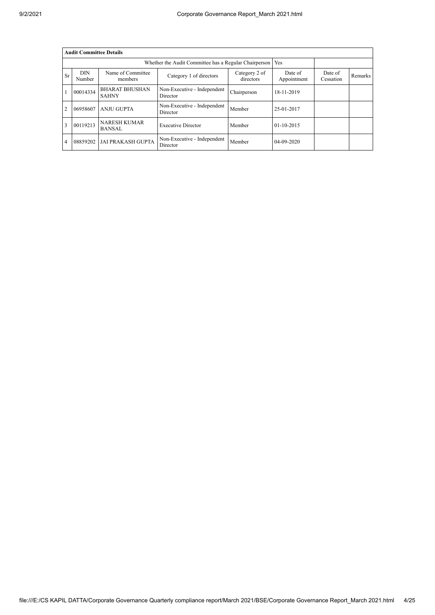|                | <b>Audit Committee Details</b> |                                       |                                                       |                            |                        |                      |                |  |  |
|----------------|--------------------------------|---------------------------------------|-------------------------------------------------------|----------------------------|------------------------|----------------------|----------------|--|--|
|                |                                |                                       | Whether the Audit Committee has a Regular Chairperson |                            | Yes                    |                      |                |  |  |
| <b>Sr</b>      | <b>DIN</b><br>Number           | Name of Committee<br>members          | Category 1 of directors                               | Category 2 of<br>directors | Date of<br>Appointment | Date of<br>Cessation | <b>Remarks</b> |  |  |
|                | 00014334                       | <b>BHARAT BHUSHAN</b><br><b>SAHNY</b> | Non-Executive - Independent<br>Director               | Chairperson                | 18-11-2019             |                      |                |  |  |
| $\overline{2}$ | 06958607                       | <b>ANJU GUPTA</b>                     | Non-Executive - Independent<br>Director               | Member                     | 25-01-2017             |                      |                |  |  |
| 3              | 00119213                       | <b>NARESH KUMAR</b><br><b>BANSAL</b>  | <b>Executive Director</b>                             | Member                     | $01-10-2015$           |                      |                |  |  |
| 4              | 08859202                       | <b>JAI PRAKASH GUPTA</b>              | Non-Executive - Independent<br>Director               | Member                     | 04-09-2020             |                      |                |  |  |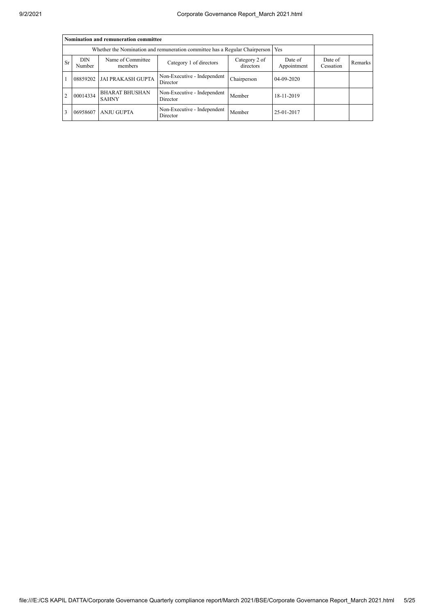|                | Nomination and remuneration committee                                       |                                       |                                         |                      |            |  |  |  |  |
|----------------|-----------------------------------------------------------------------------|---------------------------------------|-----------------------------------------|----------------------|------------|--|--|--|--|
|                | Whether the Nomination and remuneration committee has a Regular Chairperson |                                       |                                         |                      |            |  |  |  |  |
| <b>Sr</b>      | DIN<br>Number                                                               | Name of Committee<br>members          | Date of<br>Appointment                  | Date of<br>Cessation | Remarks    |  |  |  |  |
|                | 08859202                                                                    | <b>JAI PRAKASH GUPTA</b>              | Non-Executive - Independent<br>Director | Chairperson          | 04-09-2020 |  |  |  |  |
| $\overline{2}$ | 00014334                                                                    | <b>BHARAT BHUSHAN</b><br><b>SAHNY</b> | Non-Executive - Independent<br>Director | Member               | 18-11-2019 |  |  |  |  |
| 3              | 06958607                                                                    | <b>ANJU GUPTA</b>                     | Non-Executive - Independent<br>Director | Member               | 25-01-2017 |  |  |  |  |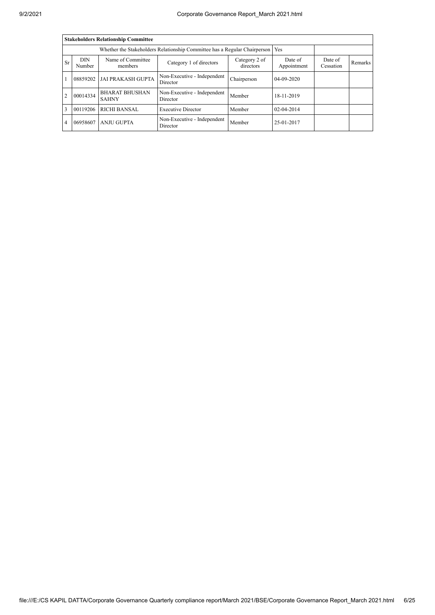|                | <b>Stakeholders Relationship Committee</b>                                                   |                              |                                         |                            |                        |                      |                |  |  |  |
|----------------|----------------------------------------------------------------------------------------------|------------------------------|-----------------------------------------|----------------------------|------------------------|----------------------|----------------|--|--|--|
|                |                                                                                              |                              |                                         |                            |                        |                      |                |  |  |  |
| <b>Sr</b>      | <b>DIN</b><br>Number                                                                         | Name of Committee<br>members | Category 1 of directors                 | Category 2 of<br>directors | Date of<br>Appointment | Date of<br>Cessation | <b>Remarks</b> |  |  |  |
|                | 08859202                                                                                     | <b>JAI PRAKASH GUPTA</b>     | Non-Executive - Independent<br>Director | Chairperson                | 04-09-2020             |                      |                |  |  |  |
| $\overline{2}$ | <b>BHARAT BHUSHAN</b><br>Non-Executive - Independent<br>00014334<br>Director<br><b>SAHNY</b> |                              | Member                                  | 18-11-2019                 |                        |                      |                |  |  |  |
| 3              | 00119206                                                                                     | <b>RICHI BANSAL</b>          | <b>Executive Director</b>               | Member                     | $02 - 04 - 2014$       |                      |                |  |  |  |
| $\overline{4}$ | 06958607                                                                                     | <b>ANJU GUPTA</b>            | Non-Executive - Independent<br>Director | Member                     | 25-01-2017             |                      |                |  |  |  |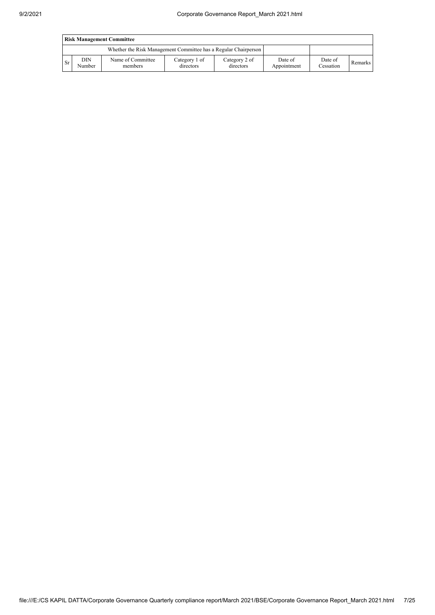|           | <b>Risk Management Committee</b> |                                                                 |                            |                            |                        |                      |         |  |  |
|-----------|----------------------------------|-----------------------------------------------------------------|----------------------------|----------------------------|------------------------|----------------------|---------|--|--|
|           |                                  | Whether the Risk Management Committee has a Regular Chairperson |                            |                            |                        |                      |         |  |  |
| <b>Sr</b> | DIN<br>Number                    | Name of Committee<br>members                                    | Category 1 of<br>directors | Category 2 of<br>directors | Date of<br>Appointment | Date of<br>Cessation | Remarks |  |  |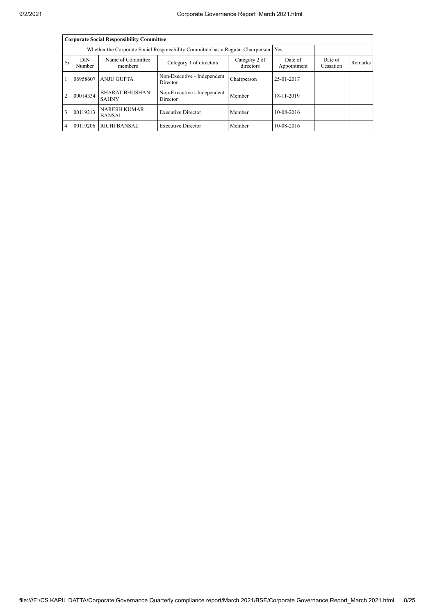|                | <b>Corporate Social Responsibility Committee</b>                                                              |                                       |                                         |             |                        |                      |         |  |  |
|----------------|---------------------------------------------------------------------------------------------------------------|---------------------------------------|-----------------------------------------|-------------|------------------------|----------------------|---------|--|--|
|                | Whether the Corporate Social Responsibility Committee has a Regular Chairperson                               |                                       |                                         |             |                        |                      |         |  |  |
| <b>Sr</b>      | <b>DIN</b><br>Name of Committee<br>Category 2 of<br>Category 1 of directors<br>directors<br>Number<br>members |                                       |                                         |             | Date of<br>Appointment | Date of<br>Cessation | Remarks |  |  |
|                | 06958607                                                                                                      | <b>ANJU GUPTA</b>                     | Non-Executive - Independent<br>Director | Chairperson | 25-01-2017             |                      |         |  |  |
| $\overline{2}$ | 00014334                                                                                                      | <b>BHARAT BHUSHAN</b><br><b>SAHNY</b> | Non-Executive - Independent<br>Director | Member      | 18-11-2019             |                      |         |  |  |
| 3              | 00119213                                                                                                      | <b>NARESH KUMAR</b><br><b>BANSAL</b>  | <b>Executive Director</b>               | Member      | 10-08-2016             |                      |         |  |  |
| $\overline{4}$ | 00119206                                                                                                      | <b>RICHI BANSAL</b>                   | <b>Executive Director</b>               | Member      | 10-08-2016             |                      |         |  |  |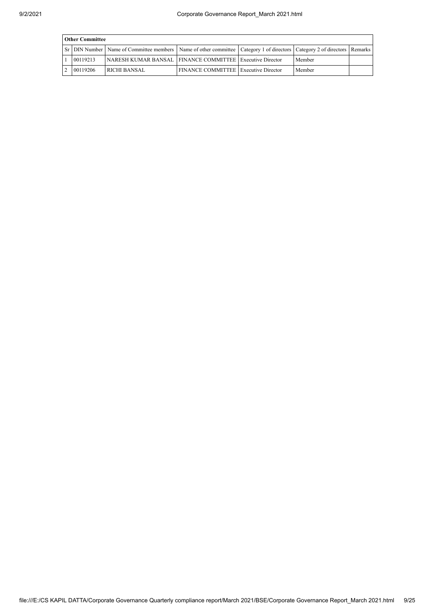| <b>Other Committee</b> |                                                                                                                                   |                                             |  |        |  |  |  |  |  |
|------------------------|-----------------------------------------------------------------------------------------------------------------------------------|---------------------------------------------|--|--------|--|--|--|--|--|
|                        | Sr DIN Number   Name of Committee members   Name of other committee   Category 1 of directors   Category 2 of directors   Remarks |                                             |  |        |  |  |  |  |  |
| 00119213               | NARESH KUMAR BANSAL   FINANCE COMMITTEE   Executive Director                                                                      |                                             |  | Member |  |  |  |  |  |
| 00119206               | <b>RICHI BANSAL</b>                                                                                                               | <b>FINANCE COMMITTEE Executive Director</b> |  | Member |  |  |  |  |  |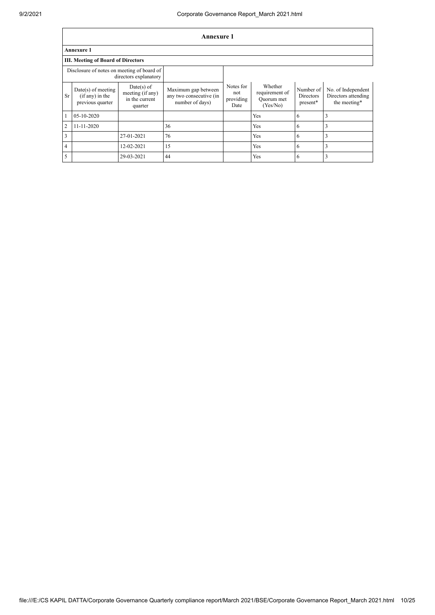$\overline{1}$ 

|                         | Annexure 1                                                          |                                                               |                                                                   |                                       |                                                     |                                           |                                                           |  |  |
|-------------------------|---------------------------------------------------------------------|---------------------------------------------------------------|-------------------------------------------------------------------|---------------------------------------|-----------------------------------------------------|-------------------------------------------|-----------------------------------------------------------|--|--|
|                         | <b>Annexure 1</b>                                                   |                                                               |                                                                   |                                       |                                                     |                                           |                                                           |  |  |
|                         | <b>III. Meeting of Board of Directors</b>                           |                                                               |                                                                   |                                       |                                                     |                                           |                                                           |  |  |
|                         | Disclosure of notes on meeting of board of<br>directors explanatory |                                                               |                                                                   |                                       |                                                     |                                           |                                                           |  |  |
| <b>Sr</b>               | $Date(s)$ of meeting<br>$(i f any)$ in the<br>previous quarter      | $Date(s)$ of<br>meeting (if any)<br>in the current<br>quarter | Maximum gap between<br>any two consecutive (in<br>number of days) | Notes for<br>not<br>providing<br>Date | Whether<br>requirement of<br>Ouorum met<br>(Yes/No) | Number of<br><b>Directors</b><br>present* | No. of Independent<br>Directors attending<br>the meeting* |  |  |
| $\mathbf{1}$            | 05-10-2020                                                          |                                                               |                                                                   |                                       | Yes                                                 | 6                                         | 3                                                         |  |  |
| $\overline{2}$          | 11-11-2020                                                          |                                                               | 36                                                                |                                       | Yes                                                 | 6                                         | 3                                                         |  |  |
| $\overline{\mathbf{3}}$ |                                                                     | 27-01-2021                                                    | 76                                                                |                                       | Yes                                                 | 6                                         | 3                                                         |  |  |
| $\overline{4}$          |                                                                     | 12-02-2021                                                    | 15                                                                |                                       | Yes                                                 | 6                                         | 3                                                         |  |  |
| 5 <sup>5</sup>          |                                                                     | 29-03-2021                                                    | 44                                                                |                                       | Yes                                                 | 6                                         | 3                                                         |  |  |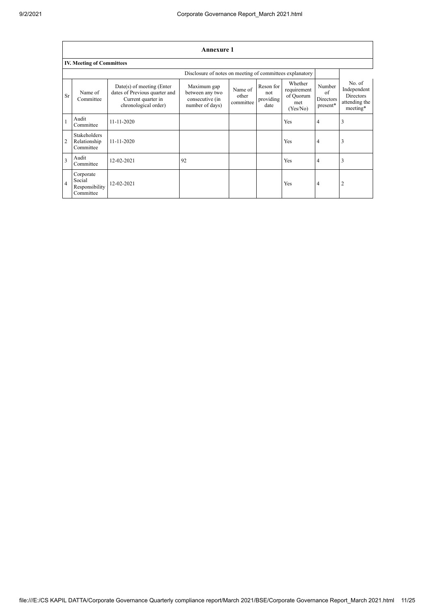$\overline{\phantom{a}}$ 

٦

|                | <b>Annexure 1</b>                                        |                                                                                                            |                                                                      |                               |                                       |                                                        |                                       |                                                                        |  |  |
|----------------|----------------------------------------------------------|------------------------------------------------------------------------------------------------------------|----------------------------------------------------------------------|-------------------------------|---------------------------------------|--------------------------------------------------------|---------------------------------------|------------------------------------------------------------------------|--|--|
|                | <b>IV. Meeting of Committees</b>                         |                                                                                                            |                                                                      |                               |                                       |                                                        |                                       |                                                                        |  |  |
|                | Disclosure of notes on meeting of committees explanatory |                                                                                                            |                                                                      |                               |                                       |                                                        |                                       |                                                                        |  |  |
| <b>Sr</b>      | Name of<br>Committee                                     | $Date(s)$ of meeting (Enter<br>dates of Previous quarter and<br>Current quarter in<br>chronological order) | Maximum gap<br>between any two<br>consecutive (in<br>number of days) | Name of<br>other<br>committee | Reson for<br>not<br>providing<br>date | Whether<br>requirement<br>of Quorum<br>met<br>(Yes/No) | Number<br>of<br>Directors<br>present* | No. of<br>Independent<br><b>Directors</b><br>attending the<br>meeting* |  |  |
| $\mathbf{1}$   | Audit<br>Committee                                       | $11 - 11 - 2020$                                                                                           |                                                                      |                               |                                       | Yes                                                    | $\overline{4}$                        | 3                                                                      |  |  |
| $\overline{2}$ | <b>Stakeholders</b><br>Relationship<br>Committee         | $11 - 11 - 2020$                                                                                           |                                                                      |                               |                                       | Yes                                                    | $\overline{4}$                        | 3                                                                      |  |  |
| 3              | Audit<br>Committee                                       | 12-02-2021                                                                                                 | 92                                                                   |                               |                                       | Yes                                                    | $\overline{4}$                        | 3                                                                      |  |  |
| $\overline{4}$ | Corporate<br>Social<br>Responsibility<br>Committee       | 12-02-2021                                                                                                 |                                                                      |                               |                                       | Yes                                                    | $\overline{4}$                        | 2                                                                      |  |  |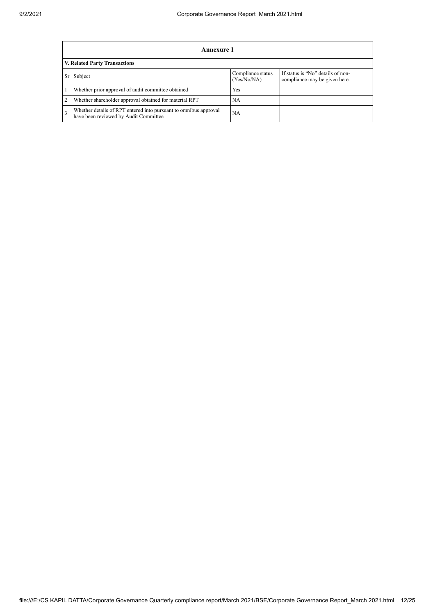|                | Annexure 1                                                                                                |                                  |                                                                    |  |  |  |  |  |
|----------------|-----------------------------------------------------------------------------------------------------------|----------------------------------|--------------------------------------------------------------------|--|--|--|--|--|
|                | V. Related Party Transactions                                                                             |                                  |                                                                    |  |  |  |  |  |
| <b>Sr</b>      | Subject                                                                                                   | Compliance status<br>(Yes/No/NA) | If status is "No" details of non-<br>compliance may be given here. |  |  |  |  |  |
|                | Whether prior approval of audit committee obtained                                                        | Yes                              |                                                                    |  |  |  |  |  |
| $\overline{2}$ | Whether shareholder approval obtained for material RPT                                                    | NA                               |                                                                    |  |  |  |  |  |
|                | Whether details of RPT entered into pursuant to omnibus approval<br>have been reviewed by Audit Committee | NА                               |                                                                    |  |  |  |  |  |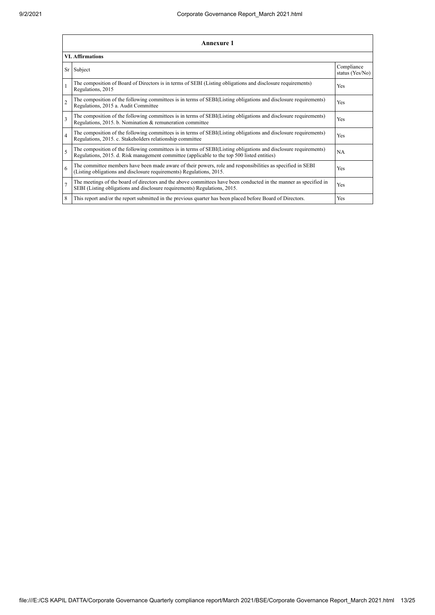|                | <b>Annexure 1</b>                                                                                                                                                                                               |                               |  |  |
|----------------|-----------------------------------------------------------------------------------------------------------------------------------------------------------------------------------------------------------------|-------------------------------|--|--|
|                | <b>VI. Affirmations</b>                                                                                                                                                                                         |                               |  |  |
|                | Sr Subject                                                                                                                                                                                                      | Compliance<br>status (Yes/No) |  |  |
|                | The composition of Board of Directors is in terms of SEBI (Listing obligations and disclosure requirements)<br>Regulations, 2015                                                                                | Yes                           |  |  |
| $\overline{2}$ | The composition of the following committees is in terms of SEBI(Listing obligations and disclosure requirements)<br>Regulations, 2015 a. Audit Committee                                                        | Yes                           |  |  |
| $\overline{3}$ | The composition of the following committees is in terms of SEBI(Listing obligations and disclosure requirements)<br>Regulations, 2015. b. Nomination & remuneration committee                                   | Yes                           |  |  |
| $\overline{4}$ | The composition of the following committees is in terms of SEBI(Listing obligations and disclosure requirements)<br>Regulations, 2015. c. Stakeholders relationship committee                                   | Yes                           |  |  |
| 5              | The composition of the following committees is in terms of SEBI(Listing obligations and disclosure requirements)<br>Regulations, 2015. d. Risk management committee (applicable to the top 500 listed entities) | <b>NA</b>                     |  |  |
| 6              | The committee members have been made aware of their powers, role and responsibilities as specified in SEBI<br>(Listing obligations and disclosure requirements) Regulations, 2015.                              | Yes                           |  |  |
| $\overline{7}$ | The meetings of the board of directors and the above committees have been conducted in the manner as specified in<br>SEBI (Listing obligations and disclosure requirements) Regulations, 2015.                  | Yes                           |  |  |
| 8              | This report and/or the report submitted in the previous quarter has been placed before Board of Directors.                                                                                                      | Yes                           |  |  |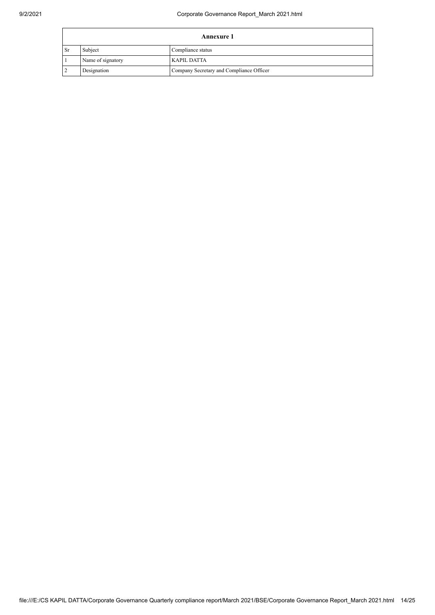|                | Annexure 1        |                                          |  |
|----------------|-------------------|------------------------------------------|--|
| <b>Sr</b>      | Subject           | Compliance status                        |  |
|                | Name of signatory | KAPIL DATTA                              |  |
| $\overline{2}$ | Designation       | Company Secretary and Compliance Officer |  |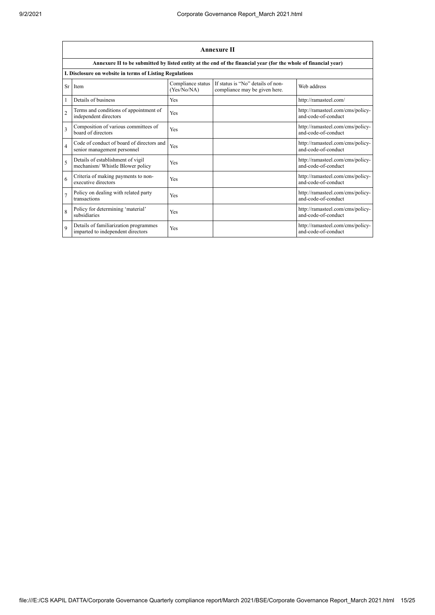|                | Annexure II                                                                |                                  |                                                                                                                 |                                                         |  |
|----------------|----------------------------------------------------------------------------|----------------------------------|-----------------------------------------------------------------------------------------------------------------|---------------------------------------------------------|--|
|                |                                                                            |                                  | Annexure II to be submitted by listed entity at the end of the financial year (for the whole of financial year) |                                                         |  |
|                | I. Disclosure on website in terms of Listing Regulations                   |                                  |                                                                                                                 |                                                         |  |
| Sr             | Item                                                                       | Compliance status<br>(Yes/No/NA) | If status is "No" details of non-<br>compliance may be given here.                                              | Web address                                             |  |
|                | Details of business                                                        | Yes                              |                                                                                                                 | http://ramasteel.com/                                   |  |
| $\overline{2}$ | Terms and conditions of appointment of<br>independent directors            | Yes                              |                                                                                                                 | http://ramasteel.com/cms/policy-<br>and-code-of-conduct |  |
| 3              | Composition of various committees of<br>board of directors                 | Yes                              |                                                                                                                 | http://ramasteel.com/cms/policy-<br>and-code-of-conduct |  |
| $\overline{4}$ | Code of conduct of board of directors and<br>senior management personnel   | Yes                              |                                                                                                                 | http://ramasteel.com/cms/policy-<br>and-code-of-conduct |  |
| 5              | Details of establishment of vigil<br>mechanism/ Whistle Blower policy      | Yes                              |                                                                                                                 | http://ramasteel.com/cms/policy-<br>and-code-of-conduct |  |
| 6              | Criteria of making payments to non-<br>executive directors                 | Yes                              |                                                                                                                 | http://ramasteel.com/cms/policy-<br>and-code-of-conduct |  |
| $\overline{7}$ | Policy on dealing with related party<br>transactions                       | Yes                              |                                                                                                                 | http://ramasteel.com/cms/policy-<br>and-code-of-conduct |  |
| 8              | Policy for determining 'material'<br>subsidiaries                          | Yes                              |                                                                                                                 | http://ramasteel.com/cms/policy-<br>and-code-of-conduct |  |
| $\mathbf Q$    | Details of familiarization programmes<br>imparted to independent directors | Yes                              |                                                                                                                 | http://ramasteel.com/cms/policy-<br>and-code-of-conduct |  |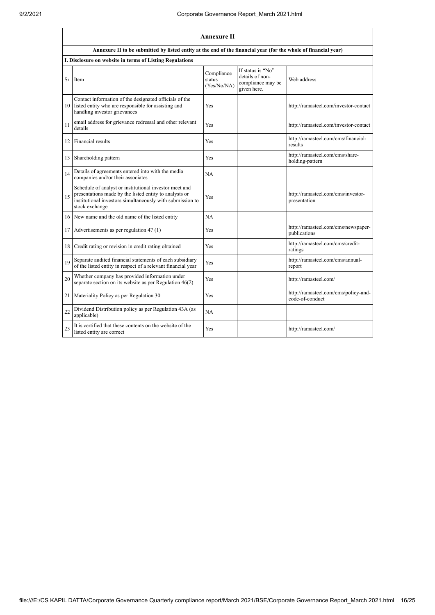|    | <b>Annexure II</b>                                                                                                                                                                              |                                     |                                                                          |                                                         |
|----|-------------------------------------------------------------------------------------------------------------------------------------------------------------------------------------------------|-------------------------------------|--------------------------------------------------------------------------|---------------------------------------------------------|
|    | Annexure II to be submitted by listed entity at the end of the financial year (for the whole of financial year)                                                                                 |                                     |                                                                          |                                                         |
|    | I. Disclosure on website in terms of Listing Regulations                                                                                                                                        |                                     |                                                                          |                                                         |
| Sr | Item                                                                                                                                                                                            | Compliance<br>status<br>(Yes/No/NA) | If status is "No"<br>details of non-<br>compliance may be<br>given here. | Web address                                             |
|    | Contact information of the designated officials of the<br>10 listed entity who are responsible for assisting and<br>handling investor grievances                                                | <b>Yes</b>                          |                                                                          | http://ramasteel.com/investor-contact                   |
| 11 | email address for grievance redressal and other relevant<br>details                                                                                                                             | Yes                                 |                                                                          | http://ramasteel.com/investor-contact                   |
| 12 | Financial results                                                                                                                                                                               | Yes                                 |                                                                          | http://ramasteel.com/cms/financial-<br>results          |
| 13 | Shareholding pattern                                                                                                                                                                            | Yes                                 |                                                                          | http://ramasteel.com/cms/share-<br>holding-pattern      |
| 14 | Details of agreements entered into with the media<br>companies and/or their associates                                                                                                          | NA                                  |                                                                          |                                                         |
| 15 | Schedule of analyst or institutional investor meet and<br>presentations made by the listed entity to analysts or<br>institutional investors simultaneously with submission to<br>stock exchange | Yes                                 |                                                                          | http://ramasteel.com/cms/investor-<br>presentation      |
| 16 | New name and the old name of the listed entity                                                                                                                                                  | NA                                  |                                                                          |                                                         |
| 17 | Advertisements as per regulation 47 (1)                                                                                                                                                         | <b>Yes</b>                          |                                                                          | http://ramasteel.com/cms/newspaper-<br>publications     |
| 18 | Credit rating or revision in credit rating obtained                                                                                                                                             | <b>Yes</b>                          |                                                                          | http://ramasteel.com/cms/credit-<br>ratings             |
| 19 | Separate audited financial statements of each subsidiary<br>of the listed entity in respect of a relevant financial year                                                                        | <b>Yes</b>                          |                                                                          | http://ramasteel.com/cms/annual-<br>report              |
| 20 | Whether company has provided information under<br>separate section on its website as per Regulation $46(2)$                                                                                     | <b>Yes</b>                          |                                                                          | http://ramasteel.com/                                   |
| 21 | Materiality Policy as per Regulation 30                                                                                                                                                         | <b>Yes</b>                          |                                                                          | http://ramasteel.com/cms/policy-and-<br>code-of-conduct |
| 22 | Dividend Distribution policy as per Regulation 43A (as<br>applicable)                                                                                                                           | NA                                  |                                                                          |                                                         |
| 23 | It is certified that these contents on the website of the<br>listed entity are correct                                                                                                          | <b>Yes</b>                          |                                                                          | http://ramasteel.com/                                   |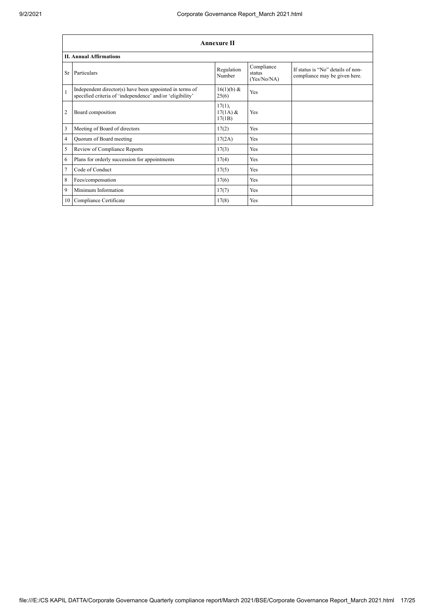|                         | <b>Annexure II</b>                                                                                                   |                                   |                                     |                                                                    |  |
|-------------------------|----------------------------------------------------------------------------------------------------------------------|-----------------------------------|-------------------------------------|--------------------------------------------------------------------|--|
|                         | <b>II. Annual Affirmations</b>                                                                                       |                                   |                                     |                                                                    |  |
|                         | Sr Particulars                                                                                                       | Regulation<br>Number              | Compliance<br>status<br>(Yes/No/NA) | If status is "No" details of non-<br>compliance may be given here. |  |
| $\mathbf{1}$            | Independent director(s) have been appointed in terms of<br>specified criteria of 'independence' and/or 'eligibility' | 16(1)(b) &<br>25(6)               | Yes                                 |                                                                    |  |
| $\overline{2}$          | Board composition                                                                                                    | $17(1)$ ,<br>$17(1A)$ &<br>17(1B) | Yes                                 |                                                                    |  |
| $\overline{\mathbf{3}}$ | Meeting of Board of directors                                                                                        | 17(2)                             | Yes                                 |                                                                    |  |
| 4                       | Quorum of Board meeting                                                                                              | 17(2A)                            | Yes                                 |                                                                    |  |
| 5                       | Review of Compliance Reports                                                                                         | 17(3)                             | Yes                                 |                                                                    |  |
| 6                       | Plans for orderly succession for appointments                                                                        | 17(4)                             | Yes                                 |                                                                    |  |
| $\overline{7}$          | Code of Conduct                                                                                                      | 17(5)                             | Yes                                 |                                                                    |  |
| 8                       | Fees/compensation                                                                                                    | 17(6)                             | Yes                                 |                                                                    |  |
| $\overline{9}$          | Minimum Information                                                                                                  | 17(7)                             | Yes                                 |                                                                    |  |
|                         | 10 Compliance Certificate                                                                                            | 17(8)                             | Yes                                 |                                                                    |  |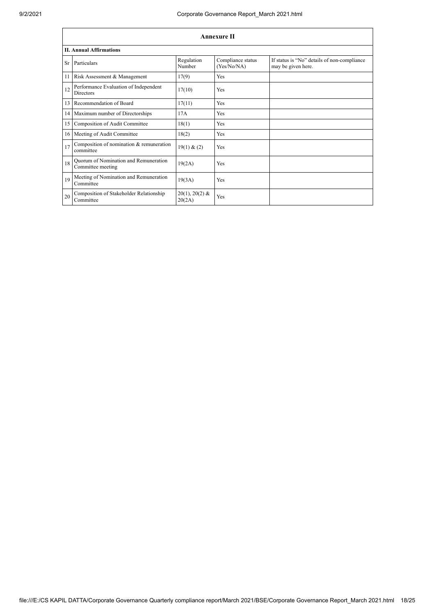|    | <b>Annexure II</b>                                         |                            |                                  |                                                                   |  |
|----|------------------------------------------------------------|----------------------------|----------------------------------|-------------------------------------------------------------------|--|
|    | <b>II. Annual Affirmations</b>                             |                            |                                  |                                                                   |  |
| Sr | Particulars                                                | Regulation<br>Number       | Compliance status<br>(Yes/No/NA) | If status is "No" details of non-compliance<br>may be given here. |  |
| 11 | Risk Assessment & Management                               | 17(9)                      | Yes                              |                                                                   |  |
| 12 | Performance Evaluation of Independent<br><b>Directors</b>  | 17(10)                     | <b>Yes</b>                       |                                                                   |  |
| 13 | Recommendation of Board                                    | 17(11)                     | <b>Yes</b>                       |                                                                   |  |
| 14 | Maximum number of Directorships                            | 17A                        | Yes                              |                                                                   |  |
| 15 | Composition of Audit Committee                             | 18(1)                      | <b>Yes</b>                       |                                                                   |  |
| 16 | Meeting of Audit Committee                                 | 18(2)                      | Yes                              |                                                                   |  |
| 17 | Composition of nomination & remuneration<br>committee      | 19(1) & (2)                | <b>Yes</b>                       |                                                                   |  |
| 18 | Quorum of Nomination and Remuneration<br>Committee meeting | 19(2A)                     | Yes                              |                                                                   |  |
| 19 | Meeting of Nomination and Remuneration<br>Committee        | 19(3A)                     | <b>Yes</b>                       |                                                                   |  |
| 20 | Composition of Stakeholder Relationship<br>Committee       | $20(1), 20(2)$ &<br>20(2A) | Yes                              |                                                                   |  |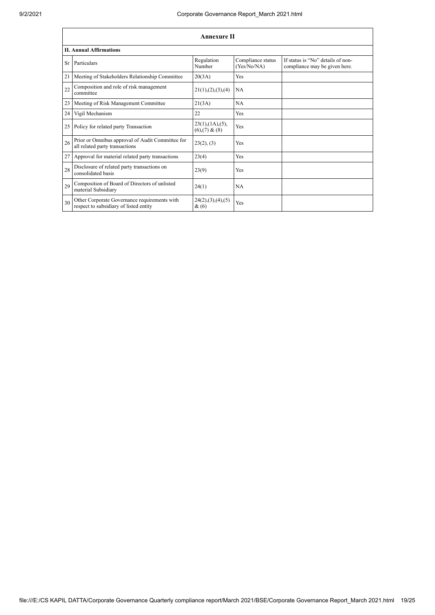|           | <b>Annexure II</b>                                                                     |                                                 |                                  |                                                                    |
|-----------|----------------------------------------------------------------------------------------|-------------------------------------------------|----------------------------------|--------------------------------------------------------------------|
|           | <b>II. Annual Affirmations</b>                                                         |                                                 |                                  |                                                                    |
| <b>Sr</b> | Particulars                                                                            | Regulation<br>Number                            | Compliance status<br>(Yes/No/NA) | If status is "No" details of non-<br>compliance may be given here. |
| 21        | Meeting of Stakeholders Relationship Committee                                         | 20(3A)                                          | Yes                              |                                                                    |
| 22        | Composition and role of risk management<br>committee                                   | 21(1), (2), (3), (4)                            | NA                               |                                                                    |
| 23        | Meeting of Risk Management Committee                                                   | 21(3A)                                          | NA                               |                                                                    |
| 24        | Vigil Mechanism                                                                        | 22                                              | Yes                              |                                                                    |
| 25        | Policy for related party Transaction                                                   | $23(1)$ , $(1A)$ , $(5)$ ,<br>$(6)$ , (7) & (8) | Yes                              |                                                                    |
| 26        | Prior or Omnibus approval of Audit Committee for<br>all related party transactions     | 23(2), (3)                                      | Yes                              |                                                                    |
| 27        | Approval for material related party transactions                                       | 23(4)                                           | Yes                              |                                                                    |
| 28        | Disclosure of related party transactions on<br>consolidated basis                      | 23(9)                                           | Yes                              |                                                                    |
| 29        | Composition of Board of Directors of unlisted<br>material Subsidiary                   | 24(1)                                           | <b>NA</b>                        |                                                                    |
| 30        | Other Corporate Governance requirements with<br>respect to subsidiary of listed entity | 24(2), (3), (4), (5)<br>&(6)                    | Yes                              |                                                                    |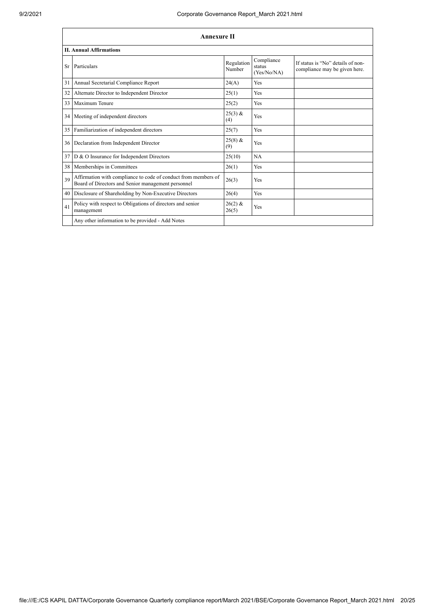|           | <b>Annexure II</b>                                                                                                   |                      |                                     |                                                                    |
|-----------|----------------------------------------------------------------------------------------------------------------------|----------------------|-------------------------------------|--------------------------------------------------------------------|
|           | <b>II. Annual Affirmations</b>                                                                                       |                      |                                     |                                                                    |
| <b>Sr</b> | Particulars                                                                                                          | Regulation<br>Number | Compliance<br>status<br>(Yes/No/NA) | If status is "No" details of non-<br>compliance may be given here. |
| 31        | Annual Secretarial Compliance Report                                                                                 | 24(A)                | Yes                                 |                                                                    |
| 32        | Alternate Director to Independent Director                                                                           | 25(1)                | Yes                                 |                                                                    |
| 33        | Maximum Tenure                                                                                                       | 25(2)                | Yes                                 |                                                                    |
| 34        | Meeting of independent directors                                                                                     | $25(3)$ &<br>(4)     | Yes                                 |                                                                    |
| 35        | Familiarization of independent directors                                                                             | 25(7)                | Yes                                 |                                                                    |
| 36        | Declaration from Independent Director                                                                                | $25(8)$ &<br>(9)     | Yes                                 |                                                                    |
| 37        | D & O Insurance for Independent Directors                                                                            | 25(10)               | NA                                  |                                                                    |
| 38        | Memberships in Committees                                                                                            | 26(1)                | Yes                                 |                                                                    |
| 39        | Affirmation with compliance to code of conduct from members of<br>Board of Directors and Senior management personnel | 26(3)                | Yes                                 |                                                                    |
| 40        | Disclosure of Shareholding by Non-Executive Directors                                                                | 26(4)                | Yes                                 |                                                                    |
| 41        | Policy with respect to Obligations of directors and senior<br>management                                             | $26(2)$ &<br>26(5)   | Yes                                 |                                                                    |
|           | Any other information to be provided - Add Notes                                                                     |                      |                                     |                                                                    |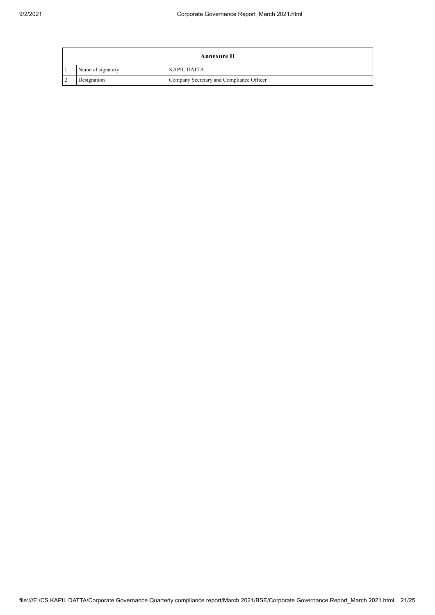| Annexure II       |                                          |  |
|-------------------|------------------------------------------|--|
| Name of signatory | <b>KAPIL DATTA</b>                       |  |
| Designation       | Company Secretary and Compliance Officer |  |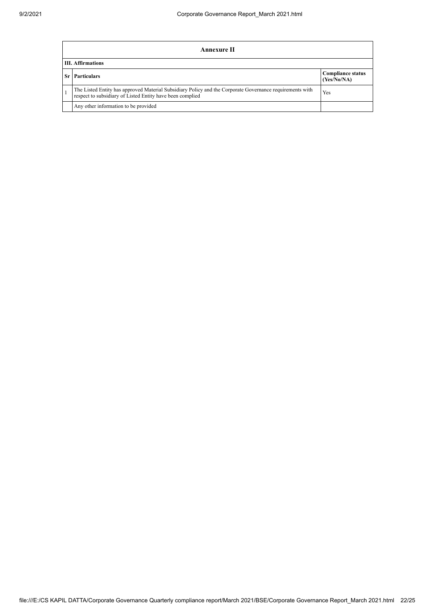| Annexure II                                                                                                                                                           |                                         |  |  |
|-----------------------------------------------------------------------------------------------------------------------------------------------------------------------|-----------------------------------------|--|--|
| <b>III.</b> Affirmations                                                                                                                                              |                                         |  |  |
| <b>Sr</b> Particulars                                                                                                                                                 | <b>Compliance status</b><br>(Yes/No/NA) |  |  |
| The Listed Entity has approved Material Subsidiary Policy and the Corporate Governance requirements with<br>respect to subsidiary of Listed Entity have been complied | Yes                                     |  |  |
| Any other information to be provided                                                                                                                                  |                                         |  |  |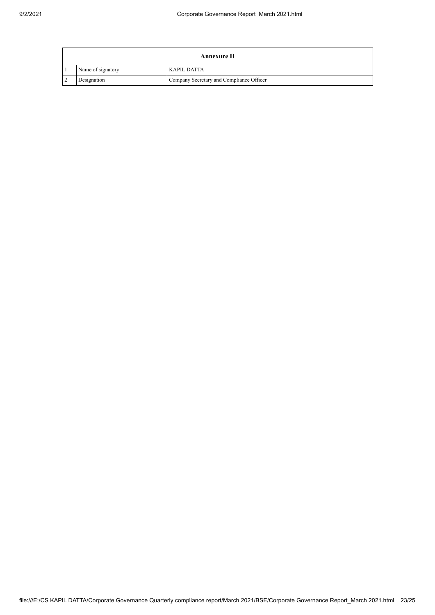| Annexure II       |                                          |  |
|-------------------|------------------------------------------|--|
| Name of signatory | <b>KAPIL DATTA</b>                       |  |
| Designation       | Company Secretary and Compliance Officer |  |